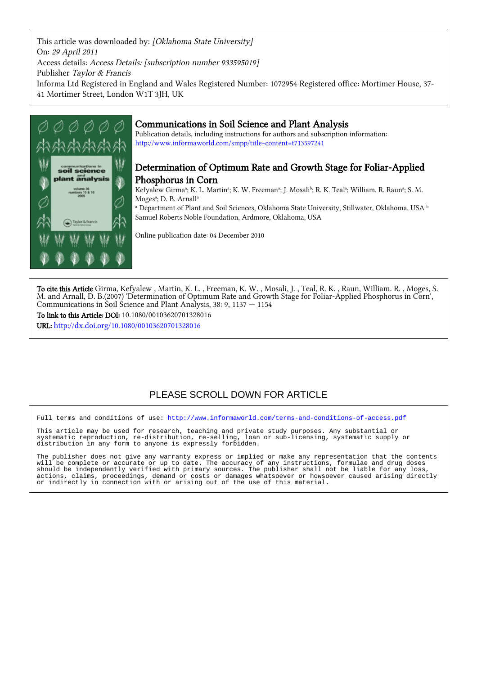This article was downloaded by: [Oklahoma State University] On: 29 April 2011 Access details: Access Details: [subscription number 933595019] Publisher Taylor & Francis Informa Ltd Registered in England and Wales Registered Number: 1072954 Registered office: Mortimer House, 37- 41 Mortimer Street, London W1T 3JH, UK



## Communications in Soil Science and Plant Analysis

Publication details, including instructions for authors and subscription information: <http://www.informaworld.com/smpp/title~content=t713597241>

## Determination of Optimum Rate and Growth Stage for Foliar-Applied Phosphorus in Corn

Kefyalew Girmaª; K. L. Martinª; K. W. Freemanª; J. Mosali<sup>b</sup>; R. K. Tealª; William. R. Raunª; S. M. Moges<sup>a</sup>; D. B. Arnall<sup>a</sup>

 $^\text{a}$  Department of Plant and Soil Sciences, Oklahoma State University, Stillwater, Oklahoma, USA  $^\text{b}$ Samuel Roberts Noble Foundation, Ardmore, Oklahoma, USA

Online publication date: 04 December 2010

To cite this Article Girma, Kefyalew , Martin, K. L. , Freeman, K. W. , Mosali, J. , Teal, R. K. , Raun, William. R. , Moges, S. M. and Arnall, D. B.(2007) 'Determination of Optimum Rate and Growth Stage for Foliar-Applied Phosphorus in Corn', Communications in Soil Science and Plant Analysis, 38: 9, 1137 — 1154

To link to this Article: DOI: 10.1080/00103620701328016

URL: <http://dx.doi.org/10.1080/00103620701328016>

# PLEASE SCROLL DOWN FOR ARTICLE

Full terms and conditions of use:<http://www.informaworld.com/terms-and-conditions-of-access.pdf>

This article may be used for research, teaching and private study purposes. Any substantial or systematic reproduction, re-distribution, re-selling, loan or sub-licensing, systematic supply or distribution in any form to anyone is expressly forbidden.

The publisher does not give any warranty express or implied or make any representation that the contents will be complete or accurate or up to date. The accuracy of any instructions, formulae and drug doses should be independently verified with primary sources. The publisher shall not be liable for any loss, actions, claims, proceedings, demand or costs or damages whatsoever or howsoever caused arising directly or indirectly in connection with or arising out of the use of this material.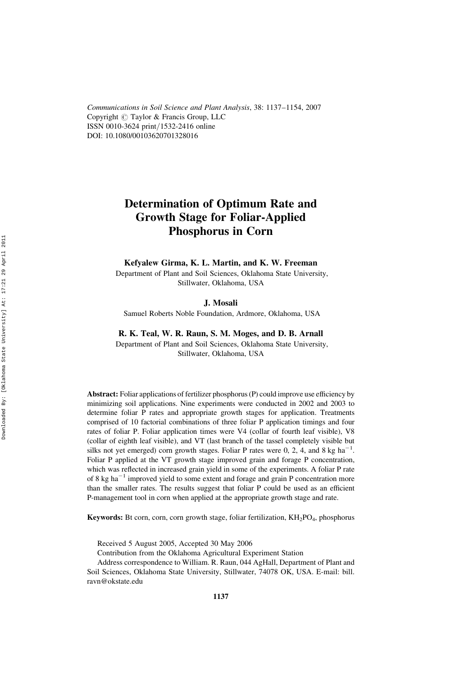Communications in Soil Science and Plant Analysis, 38: 1137–1154, 2007 Copyright  $\odot$  Taylor & Francis Group, LLC ISSN 0010-3624 print*/*1532-2416 online DOI: 10.1080/00103620701328016

# Determination of Optimum Rate and Growth Stage for Foliar-Applied Phosphorus in Corn

Kefyalew Girma, K. L. Martin, and K. W. Freeman

Department of Plant and Soil Sciences, Oklahoma State University, Stillwater, Oklahoma, USA

#### J. Mosali

Samuel Roberts Noble Foundation, Ardmore, Oklahoma, USA

#### R. K. Teal, W. R. Raun, S. M. Moges, and D. B. Arnall

Department of Plant and Soil Sciences, Oklahoma State University, Stillwater, Oklahoma, USA

Abstract: Foliar applications of fertilizer phosphorus (P) could improve use efficiency by minimizing soil applications. Nine experiments were conducted in 2002 and 2003 to determine foliar P rates and appropriate growth stages for application. Treatments comprised of 10 factorial combinations of three foliar P application timings and four rates of foliar P. Foliar application times were V4 (collar of fourth leaf visible), V8 (collar of eighth leaf visible), and VT (last branch of the tassel completely visible but silks not yet emerged) corn growth stages. Foliar P rates were  $0, 2, 4$ , and 8 kg ha<sup>-1</sup>. Foliar P applied at the VT growth stage improved grain and forage P concentration, which was reflected in increased grain yield in some of the experiments. A foliar P rate of 8 kg ha<sup> $-1$ </sup> improved yield to some extent and forage and grain P concentration more than the smaller rates. The results suggest that foliar P could be used as an efficient P-management tool in corn when applied at the appropriate growth stage and rate.

**Keywords:** Bt corn, corn, corn growth stage, foliar fertilization,  $KH_2PO_4$ , phosphorus

Received 5 August 2005, Accepted 30 May 2006

Contribution from the Oklahoma Agricultural Experiment Station

Address correspondence to William. R. Raun, 044 AgHall, Department of Plant and Soil Sciences, Oklahoma State University, Stillwater, 74078 OK, USA. E-mail: bill. ravn@okstate.edu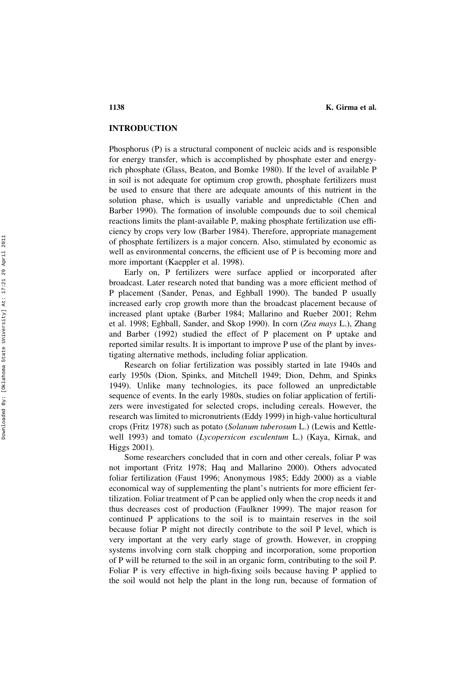1138 K. Girma et al.

## INTRODUCTION

Phosphorus (P) is a structural component of nucleic acids and is responsible for energy transfer, which is accomplished by phosphate ester and energyrich phosphate (Glass, Beaton, and Bomke 1980). If the level of available P in soil is not adequate for optimum crop growth, phosphate fertilizers must be used to ensure that there are adequate amounts of this nutrient in the solution phase, which is usually variable and unpredictable (Chen and Barber 1990). The formation of insoluble compounds due to soil chemical reactions limits the plant-available P, making phosphate fertilization use efficiency by crops very low (Barber 1984). Therefore, appropriate management of phosphate fertilizers is a major concern. Also, stimulated by economic as well as environmental concerns, the efficient use of P is becoming more and more important (Kaeppler et al. 1998).

Early on, P fertilizers were surface applied or incorporated after broadcast. Later research noted that banding was a more efficient method of P placement (Sander, Penas, and Eghball 1990). The banded P usually increased early crop growth more than the broadcast placement because of increased plant uptake (Barber 1984; Mallarino and Rueber 2001; Rehm et al. 1998; Eghball, Sander, and Skop 1990). In corn (Zea mays L.), Zhang and Barber (1992) studied the effect of P placement on P uptake and reported similar results. It is important to improve P use of the plant by investigating alternative methods, including foliar application.

Research on foliar fertilization was possibly started in late 1940s and early 1950s (Dion, Spinks, and Mitchell 1949; Dion, Dehm, and Spinks 1949). Unlike many technologies, its pace followed an unpredictable sequence of events. In the early 1980s, studies on foliar application of fertilizers were investigated for selected crops, including cereals. However, the research was limited to micronutrients (Eddy 1999) in high-value horticultural crops (Fritz 1978) such as potato (Solanum tuberosum L.) (Lewis and Kettlewell 1993) and tomato (Lycopersicon esculentum L.) (Kaya, Kirnak, and Higgs 2001).

Some researchers concluded that in corn and other cereals, foliar P was not important (Fritz 1978; Haq and Mallarino 2000). Others advocated foliar fertilization (Faust 1996; Anonymous 1985; Eddy 2000) as a viable economical way of supplementing the plant's nutrients for more efficient fertilization. Foliar treatment of P can be applied only when the crop needs it and thus decreases cost of production (Faulkner 1999). The major reason for continued P applications to the soil is to maintain reserves in the soil because foliar P might not directly contribute to the soil P level, which is very important at the very early stage of growth. However, in cropping systems involving corn stalk chopping and incorporation, some proportion of P will be returned to the soil in an organic form, contributing to the soil P. Foliar P is very effective in high-fixing soils because having P applied to the soil would not help the plant in the long run, because of formation of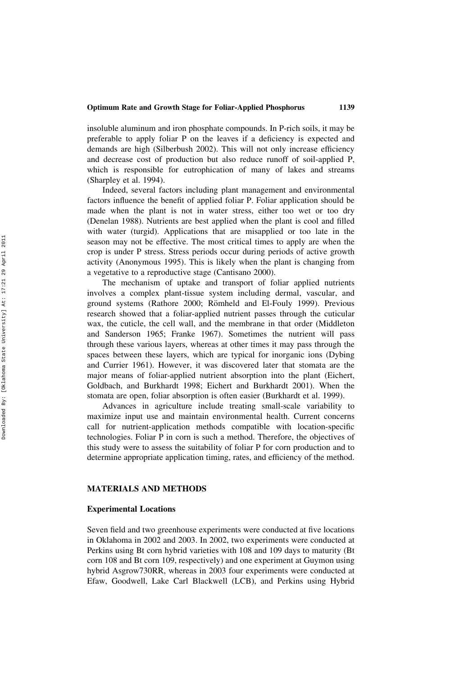insoluble aluminum and iron phosphate compounds. In P-rich soils, it may be preferable to apply foliar P on the leaves if a deficiency is expected and demands are high (Silberbush 2002). This will not only increase efficiency and decrease cost of production but also reduce runoff of soil-applied P, which is responsible for eutrophication of many of lakes and streams (Sharpley et al. 1994).

Indeed, several factors including plant management and environmental factors influence the benefit of applied foliar P. Foliar application should be made when the plant is not in water stress, either too wet or too dry (Denelan 1988). Nutrients are best applied when the plant is cool and filled with water (turgid). Applications that are misapplied or too late in the season may not be effective. The most critical times to apply are when the crop is under P stress. Stress periods occur during periods of active growth activity (Anonymous 1995). This is likely when the plant is changing from a vegetative to a reproductive stage (Cantisano 2000).

The mechanism of uptake and transport of foliar applied nutrients involves a complex plant-tissue system including dermal, vascular, and ground systems (Rathore 2000; Römheld and El-Fouly 1999). Previous research showed that a foliar-applied nutrient passes through the cuticular wax, the cuticle, the cell wall, and the membrane in that order (Middleton and Sanderson 1965; Franke 1967). Sometimes the nutrient will pass through these various layers, whereas at other times it may pass through the spaces between these layers, which are typical for inorganic ions (Dybing and Currier 1961). However, it was discovered later that stomata are the major means of foliar-applied nutrient absorption into the plant (Eichert, Goldbach, and Burkhardt 1998; Eichert and Burkhardt 2001). When the stomata are open, foliar absorption is often easier (Burkhardt et al. 1999).

Advances in agriculture include treating small-scale variability to maximize input use and maintain environmental health. Current concerns call for nutrient-application methods compatible with location-specific technologies. Foliar P in corn is such a method. Therefore, the objectives of this study were to assess the suitability of foliar P for corn production and to determine appropriate application timing, rates, and efficiency of the method.

### MATERIALS AND METHODS

#### Experimental Locations

Seven field and two greenhouse experiments were conducted at five locations in Oklahoma in 2002 and 2003. In 2002, two experiments were conducted at Perkins using Bt corn hybrid varieties with 108 and 109 days to maturity (Bt corn 108 and Bt corn 109, respectively) and one experiment at Guymon using hybrid Asgrow730RR, whereas in 2003 four experiments were conducted at Efaw, Goodwell, Lake Carl Blackwell (LCB), and Perkins using Hybrid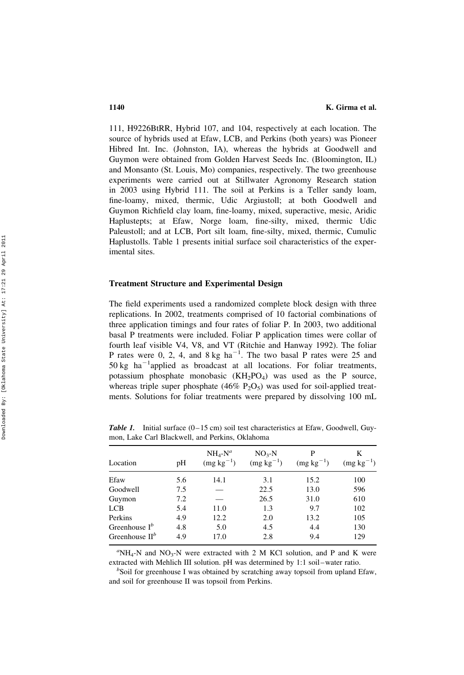111, H9226BtRR, Hybrid 107, and 104, respectively at each location. The source of hybrids used at Efaw, LCB, and Perkins (both years) was Pioneer Hibred Int. Inc. (Johnston, IA), whereas the hybrids at Goodwell and Guymon were obtained from Golden Harvest Seeds Inc. (Bloomington, IL) and Monsanto (St. Louis, Mo) companies, respectively. The two greenhouse experiments were carried out at Stillwater Agronomy Research station in 2003 using Hybrid 111. The soil at Perkins is a Teller sandy loam, fine-loamy, mixed, thermic, Udic Argiustoll; at both Goodwell and Guymon Richfield clay loam, fine-loamy, mixed, superactive, mesic, Aridic Haplustepts; at Efaw, Norge loam, fine-silty, mixed, thermic Udic Paleustoll; and at LCB, Port silt loam, fine-silty, mixed, thermic, Cumulic Haplustolls. Table 1 presents initial surface soil characteristics of the experimental sites.

#### Treatment Structure and Experimental Design

The field experiments used a randomized complete block design with three replications. In 2002, treatments comprised of 10 factorial combinations of three application timings and four rates of foliar P. In 2003, two additional basal P treatments were included. Foliar P application times were collar of fourth leaf visible V4, V8, and VT (Ritchie and Hanway 1992). The foliar P rates were 0, 2, 4, and  $8 \text{ kg/ha}^{-1}$ . The two basal P rates were 25 and 50 kg  $ha^{-1}$ applied as broadcast at all locations. For foliar treatments, potassium phosphate monobasic (KH 2PO 4) was used as the P source, whereas triple super phosphate  $(46\% \text{ P}_2\text{O}_5)$  was used for soil-applied treatments. Solutions for foliar treatments were prepared by dissolving 100 mL

**Table 1.** Initial surface  $(0-15 \text{ cm})$  soil test characteristics at Efaw, Goodwell, Guymon, Lake Carl Blackwell, and Perkins, Oklahoma

| Location           | pH  | $NH4-Na$<br>$(mg kg^{-1})$ | $NO3-N$<br>$(mg kg^{-1})$ | P<br>$(mg kg^{-1})$ | K<br>$(mg kg^{-1})$ |
|--------------------|-----|----------------------------|---------------------------|---------------------|---------------------|
| Efaw               | 5.6 | 14.1                       | 3.1                       | 15.2                | 100                 |
| Goodwell           | 7.5 |                            | 22.5                      | 13.0                | 596                 |
| Guymon             | 7.2 |                            | 26.5                      | 31.0                | 610                 |
| <b>LCB</b>         | 5.4 | 11.0                       | 1.3                       | 9.7                 | 102                 |
| Perkins            | 4.9 | 12.2                       | 2.0                       | 13.2                | 105                 |
| Greenhouse $I^b$   | 4.8 | 5.0                        | 4.5                       | 4.4                 | 130                 |
| Greenhouse $\Pi^b$ | 4.9 | 17.0                       | 2.8                       | 9.4                 | 129                 |

 ${}^a$ NH<sub>4</sub>-N and NO<sub>3</sub>-N were extracted with 2 M KCl solution, and P and K were extracted with Mehlich III solution. pH was determined by 1:1 soil-water ratio.

 $b$ Soil for greenhouse I was obtained by scratching away topsoil from upland Efaw, and soil for greenhouse II was topsoil from Perkins.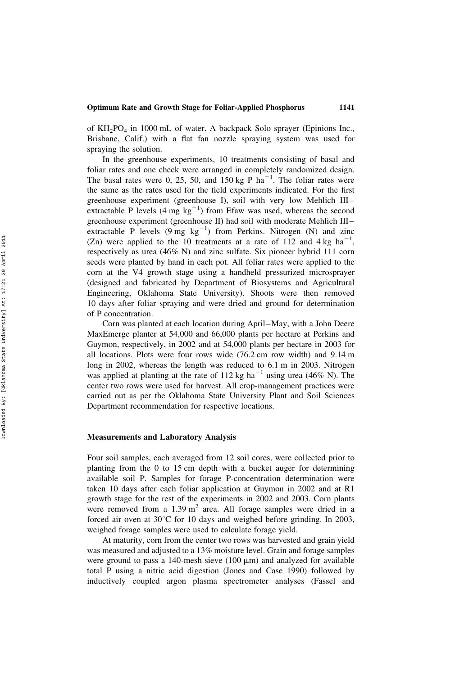of KH 2PO <sup>4</sup> in 1000 mL of water. A backpack Solo sprayer (Epinions Inc., Brisbane, Calif.) with a flat fan nozzle spraying system was used for spraying the solution.

In the greenhouse experiments, 10 treatments consisting of basal and foliar rates and one check were arranged in completely randomized design. The basal rates were 0, 25, 50, and  $150 \text{ kg} \text{ P ha}^{-1}$ . The foliar rates were the same as the rates used for the field experiments indicated. For the first greenhouse experiment (greenhouse I), soil with very low Mehlich III – extractable P levels  $(4 \text{ mg kg}^{-1})$  from Efaw was used, whereas the second greenhouse experiment (greenhouse II) had soil with moderate Mehlich III– extractable P levels  $(9 \text{ mg } \text{kg}^{-1})$  from Perkins. Nitrogen (N) and zinc (Zn) were applied to the 10 treatments at a rate of 112 and 4 kg  $ha^{-1}$ , respectively as urea (46% N) and zinc sulfate. Six pioneer hybrid 111 corn seeds were planted by hand in each pot. All foliar rates were applied to the corn at the V4 growth stage using a handheld pressurized microsprayer (designed and fabricated by Department of Biosystems and Agricultural Engineering, Oklahoma State University). Shoots were then removed 10 days after foliar spraying and were dried and ground for determination of P concentration.

Corn was planted at each location during April –May, with a John Deere MaxEmerge planter at 54,000 and 66,000 plants per hectare at Perkins and Guymon, respectively, in 2002 and at 54,000 plants per hectare in 2003 for all locations. Plots were four rows wide (76.2 cm row width) and 9.14 m long in 2002, whereas the length was reduced to 6.1 m in 2003. Nitrogen was applied at planting at the rate of 112 kg ha<sup>-1</sup> using urea (46% N). The center two rows were used for harvest. All crop-management practices were carried out as per the Oklahoma State University Plant and Soil Sciences Department recommendation for respective locations.

#### Measurements and Laboratory Analysis

Four soil samples, each averaged from 12 soil cores, were collected prior to planting from the 0 to 15 cm depth with a bucket auger for determining available soil P. Samples for forage P-concentration determination were taken 10 days after each foliar application at Guymon in 2002 and at R1 growth stage for the rest of the experiments in 2002 and 2003. Corn plants were removed from a 1.39 m<sup>2</sup> area. All forage samples were dried in a forced air oven at 30°C for 10 days and weighed before grinding. In 2003, weighed forage samples were used to calculate forage yield.

At maturity, corn from the center two rows was harvested and grain yield was measured and adjusted to a 13% moisture level. Grain and forage samples were ground to pass a 140-mesh sieve  $(100 \mu m)$  and analyzed for available total P using a nitric acid digestion (Jones and Case 1990) followed by inductively coupled argon plasma spectrometer analyses (Fassel and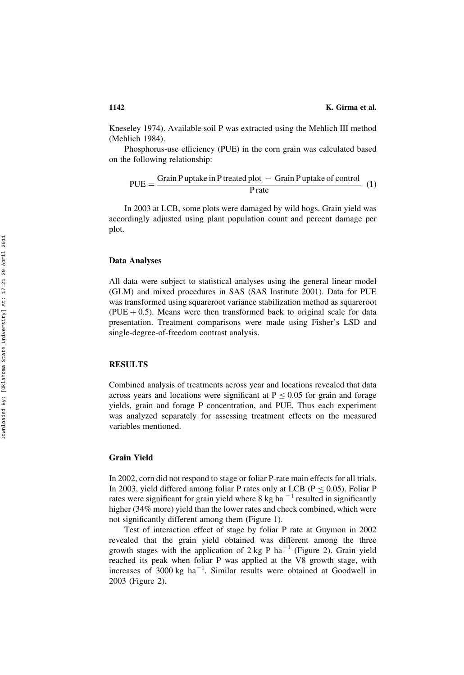Kneseley 1974). Available soil P was extracted using the Mehlich III method (Mehlich 1984).

Phosphorus-use efficiency (PUE) in the corn grain was calculated based on the following relationship:

$$
PUE = \frac{Grain P uptake in P treated plot - Grain Puptake of control}{P rate}
$$
 (1)

In 2003 at LCB, some plots were damaged by wild hogs. Grain yield was accordingly adjusted using plant population count and percent damage per plot.

## Data Analyses

All data were subject to statistical analyses using the general linear model (GLM) and mixed procedures in SAS (SAS Institute 2001). Data for PUE was transformed using squareroot variance stabilization method as squareroot  $(PUE + 0.5)$ . Means were then transformed back to original scale for data presentation. Treatment comparisons were made using Fisher's LSD and single-degree-of-freedom contrast analysis.

## RESULTS

Combined analysis of treatments across year and locations revealed that data across years and locations were significant at  $P \le 0.05$  for grain and forage yields, grain and forage P concentration, and PUE. Thus each experiment was analyzed separately for assessing treatment effects on the measured variables mentioned.

## Grain Yield

In 2002, corn did not respond to stage or foliar P-rate main effects for all trials. In 2003, yield differed among foliar P rates only at LCB ( $P \le 0.05$ ). Foliar P rates were significant for grain yield where 8 kg ha<sup> $-1$ </sup> resulted in significantly higher (34% more) yield than the lower rates and check combined, which were not significantly different among them (Figure 1).

Test of interaction effect of stage by foliar P rate at Guymon in 2002 revealed that the grain yield obtained was different among the three growth stages with the application of  $2 \text{ kg }$  P ha<sup>-1</sup> (Figure 2). Grain yield reached its peak when foliar P was applied at the V8 growth stage, with increases of 3000 kg ha 2 1 . Similar results were obtained at Goodwell in 2003 (Figure 2).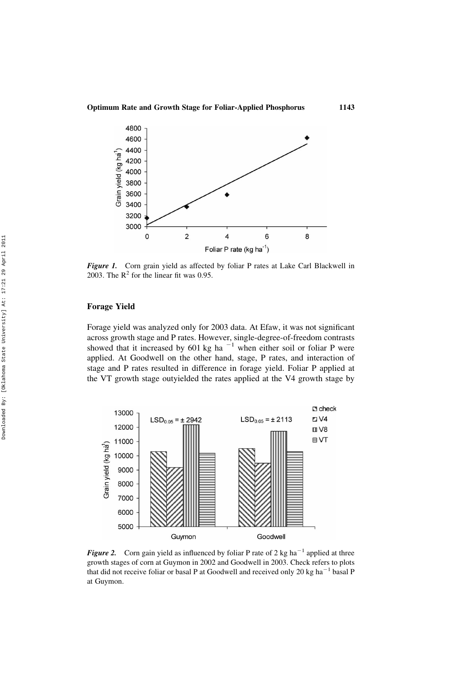

Figure 1. Corn grain yield as affected by foliar P rates at Lake Carl Blackwell in 2003. The  $R^2$  for the linear fit was 0.95.

## Forage Yield

Forage yield was analyzed only for 2003 data. At Efaw, it was not significant across growth stage and P rates. However, single-degree-of-freedom contrasts showed that it increased by 601 kg ha<sup> $-1$ </sup> when either soil or foliar P were applied. At Goodwell on the other hand, stage, P rates, and interaction of stage and P rates resulted in difference in forage yield. Foliar P applied at the VT growth stage outyielded the rates applied at the V4 growth stage by



**Figure 2.** Corn gain yield as influenced by foliar P rate of 2 kg ha<sup> $-1$ </sup> applied at three growth stages of corn at Guymon in 2002 and Goodwell in 2003. Check refers to plots that did not receive foliar or basal P at Goodwell and received only 20 kg ha<sup> $-1$ </sup> basal P at Guymon.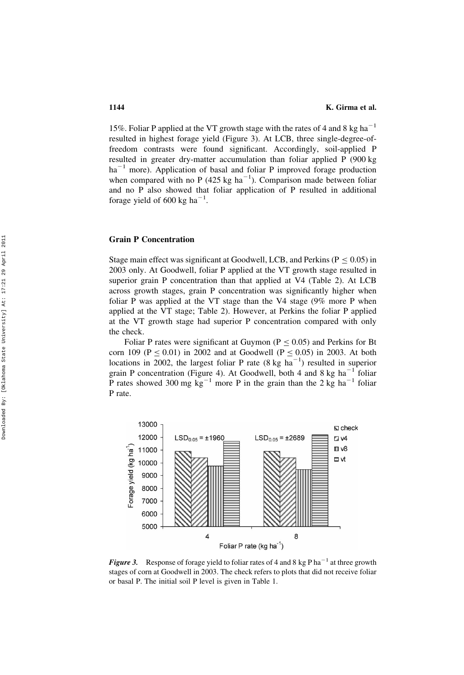15%. Foliar P applied at the VT growth stage with the rates of 4 and 8 kg ha<sup> $-1$ </sup> resulted in highest forage yield (Figure 3). At LCB, three single-degree-offreedom contrasts were found significant. Accordingly, soil-applied P resulted in greater dry-matter accumulation than foliar applied P (900 kg  $ha^{-1}$  more). Application of basal and foliar P improved forage production when compared with no P (425 kg  $ha^{-1}$ ). Comparison made between foliar and no P also showed that foliar application of P resulted in additional forage yield of 600 kg ha<sup> $-1$ </sup>.

## Grain P Concentration

Stage main effect was significant at Goodwell, LCB, and Perkins ( $P \le 0.05$ ) in 2003 only. At Goodwell, foliar P applied at the VT growth stage resulted in superior grain P concentration than that applied at V4 (Table 2). At LCB across growth stages, grain P concentration was significantly higher when foliar P was applied at the VT stage than the V4 stage (9% more P when applied at the VT stage; Table 2). However, at Perkins the foliar P applied at the VT growth stage had superior P concentration compared with only the check.

Foliar P rates were significant at Guymon ( $P \le 0.05$ ) and Perkins for Bt corn 109 ( $P \le 0.01$ ) in 2002 and at Goodwell ( $P \le 0.05$ ) in 2003. At both locations in 2002, the largest foliar P rate  $(8 \text{ kg ha}^{-1})$  resulted in superior grain P concentration (Figure 4). At Goodwell, both 4 and 8 kg  $ha^{-1}$  foliar P rates showed 300 mg  $\text{kg}^{-1}$  more P in the grain than the 2 kg ha<sup>-1</sup> foliar P rate.



**Figure 3.** Response of forage yield to foliar rates of 4 and 8 kg P ha<sup>-1</sup> at three growth stages of corn at Goodwell in 2003. The check refers to plots that did not receive foliar or basal P. The initial soil P level is given in Table 1.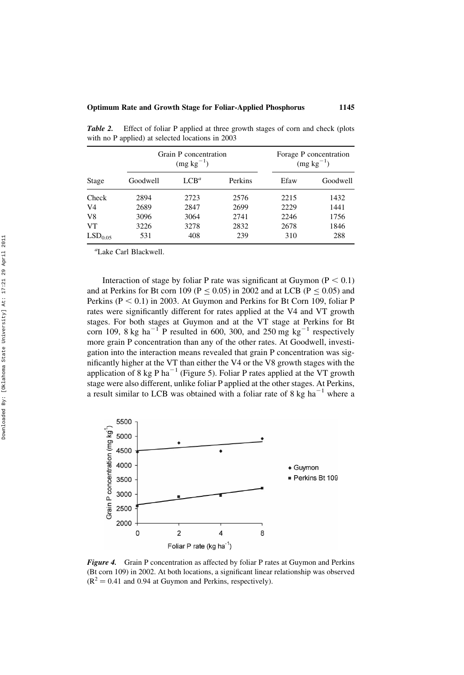|                     |          | Grain P concentration<br>$(mg kg^{-1})$ | Forage P concentration<br>$(mg kg^{-1})$ |      |          |
|---------------------|----------|-----------------------------------------|------------------------------------------|------|----------|
| Stage               | Goodwell | $LCB^a$                                 | Perkins                                  | Efaw | Goodwell |
| Check               | 2894     | 2723                                    | 2576                                     | 2215 | 1432     |
| V4                  | 2689     | 2847                                    | 2699                                     | 2229 | 1441     |
| V8                  | 3096     | 3064                                    | 2741                                     | 2246 | 1756     |
| VT                  | 3226     | 3278                                    | 2832                                     | 2678 | 1846     |
| LSD <sub>0.05</sub> | 531      | 408                                     | 239                                      | 310  | 288      |

Table 2. Effect of foliar P applied at three growth stages of corn and check (plots with no P applied) at selected locations in 2003

a Lake Carl Blackwell.

Interaction of stage by foliar P rate was significant at Guymon ( $P < 0.1$ ) and at Perkins for Bt corn 109 ( $P \le 0.05$ ) in 2002 and at LCB ( $P \le 0.05$ ) and Perkins ( $P < 0.1$ ) in 2003. At Guymon and Perkins for Bt Corn 109, foliar P rates were significantly different for rates applied at the V4 and VT growth stages. For both stages at Guymon and at the VT stage at Perkins for Bt corn 109, 8 kg ha<sup>-1</sup> P resulted in 600, 300, and 250 mg kg<sup>-1</sup> respectively more grain P concentration than any of the other rates. At Goodwell, investigation into the interaction means revealed that grain P concentration was significantly higher at the VT than either the V4 or the V8 growth stages with the application of 8 kg P ha<sup> $-1$ </sup> (Figure 5). Foliar P rates applied at the VT growth stage were also different, unlike foliar P applied at the other stages. At Perkins, a result similar to LCB was obtained with a foliar rate of  $8 \text{ kg ha}^{-1}$  where a



Figure 4. Grain P concentration as affected by foliar P rates at Guymon and Perkins (Bt corn 109) in 2002. At both locations, a significant linear relationship was observed  $(R^2 = 0.41$  and 0.94 at Guymon and Perkins, respectively).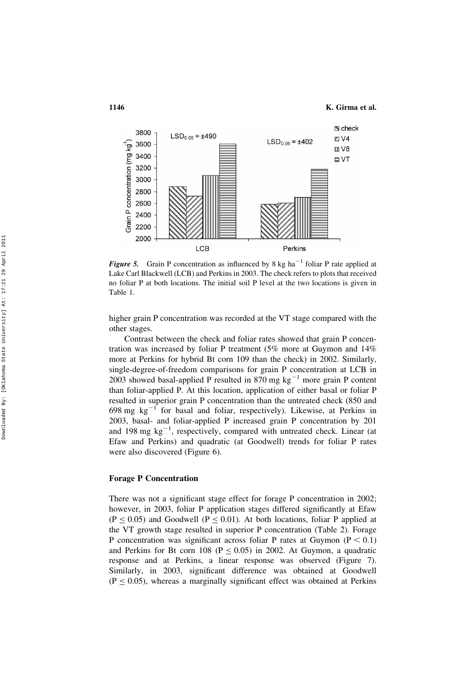1146 K. Girma et al.



**Figure 5.** Grain P concentration as influenced by 8 kg ha<sup> $-1$ </sup> foliar P rate applied at Lake Carl Blackwell (LCB) and Perkins in 2003. The check refers to plots that received no foliar P at both locations. The initial soil P level at the two locations is given in Table 1.

higher grain P concentration was recorded at the VT stage compared with the other stages.

Contrast between the check and foliar rates showed that grain P concentration was increased by foliar P treatment (5% more at Guymon and 14% more at Perkins for hybrid Bt corn 109 than the check) in 2002. Similarly, single-degree-of-freedom comparisons for grain P concentration at LCB in 2003 showed basal-applied P resulted in 870 mg  $kg^{-1}$  more grain P content than foliar-applied P. At this location, application of either basal or foliar P resulted in superior grain P concentration than the untreated check (850 and 698 mg  $kg^{-1}$  for basal and foliar, respectively). Likewise, at Perkins in 2003, basal- and foliar-applied P increased grain P concentration by 201 and 198 mg  $kg^{-1}$ , respectively, compared with untreated check. Linear (at Efaw and Perkins) and quadratic (at Goodwell) trends for foliar P rates were also discovered (Figure 6).

#### Forage P Concentration

There was not a significant stage effect for forage P concentration in 2002; however, in 2003, foliar P application stages differed significantly at Efaw  $(P \le 0.05)$  and Goodwell (P  $\le 0.01$ ). At both locations, foliar P applied at the VT growth stage resulted in superior P concentration (Table 2). Forage P concentration was significant across foliar P rates at Guymon ( $P < 0.1$ ) and Perkins for Bt corn 108 ( $P \le 0.05$ ) in 2002. At Guymon, a quadratic response and at Perkins, a linear response was observed (Figure 7). Similarly, in 2003, significant difference was obtained at Goodwell  $(P \le 0.05)$ , whereas a marginally significant effect was obtained at Perkins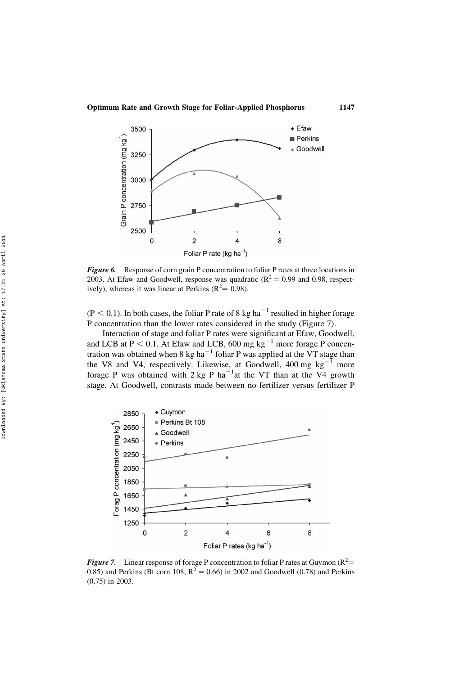

Figure 6. Response of corn grain P concentration to foliar P rates at three locations in 2003. At Efaw and Goodwell, response was quadratic ( $R^2 = 0.99$  and 0.98, respectively), whereas it was linear at Perkins ( $R^2 = 0.98$ ).

 $(P < 0.1)$ . In both cases, the foliar P rate of 8 kg ha<sup>-1</sup> resulted in higher forage P concentration than the lower rates considered in the study (Figure 7).

Interaction of stage and foliar P rates were significant at Efaw, Goodwell, and LCB at  $P < 0.1$ . At Efaw and LCB, 600 mg kg<sup>-1</sup> more forage P concentration was obtained when 8 kg ha<sup> $-1$ </sup> foliar P was applied at the VT stage than the V8 and V4, respectively. Likewise, at Goodwell,  $400 \text{ mg kg}^{-1}$  more forage P was obtained with  $2 \text{ kg }$  P ha<sup>-1</sup>at the VT than at the V4 growth stage. At Goodwell, contrasts made between no fertilizer versus fertilizer P



**Figure 7.** Linear response of forage P concentration to foliar P rates at Guymon ( $R^2$  = 0.85) and Perkins (Bt corn 108,  $R^2 = 0.66$ ) in 2002 and Goodwell (0.78) and Perkins (0.75) in 2003.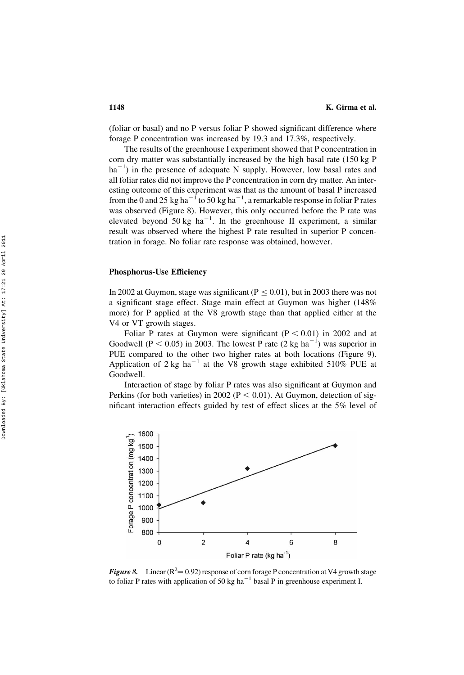(foliar or basal) and no P versus foliar P showed significant difference where forage P concentration was increased by 19.3 and 17.3%, respectively.

The results of the greenhouse I experiment showed that P concentration in corn dry matter was substantially increased by the high basal rate (150 kg P  $ha^{-1}$ ) in the presence of adequate N supply. However, low basal rates and all foliar rates did not improve the P concentration in corn dry matter. An interesting outcome of this experiment was that as the amount of basal P increased from the 0 and 25 kg ha<sup>-1</sup> to 50 kg ha<sup>-1</sup>, a remarkable response in foliar P rates was observed (Figure 8). However, this only occurred before the P rate was elevated beyond 50 kg ha<sup>-1</sup>. In the greenhouse II experiment, a similar result was observed where the highest P rate resulted in superior P concentration in forage. No foliar rate response was obtained, however.

#### Phosphorus-Use Efficiency

In 2002 at Guymon, stage was significant ( $P \le 0.01$ ), but in 2003 there was not a significant stage effect. Stage main effect at Guymon was higher (148% more) for P applied at the V8 growth stage than that applied either at the V4 or VT growth stages.

Foliar P rates at Guymon were significant  $(P < 0.01)$  in 2002 and at Goodwell ( $P < 0.05$ ) in 2003. The lowest P rate (2 kg ha<sup>-1</sup>) was superior in PUE compared to the other two higher rates at both locations (Figure 9). Application of  $2 \text{ kg/h}^{-1}$  at the V8 growth stage exhibited 510% PUE at Goodwell.

Interaction of stage by foliar P rates was also significant at Guymon and Perkins (for both varieties) in 2002 ( $P < 0.01$ ). At Guymon, detection of significant interaction effects guided by test of effect slices at the 5% level of



**Figure 8.** Linear ( $R^2 = 0.92$ ) response of corn forage P concentration at V4 growth stage to foliar P rates with application of 50 kg ha<sup> $-1$ </sup> basal P in greenhouse experiment I.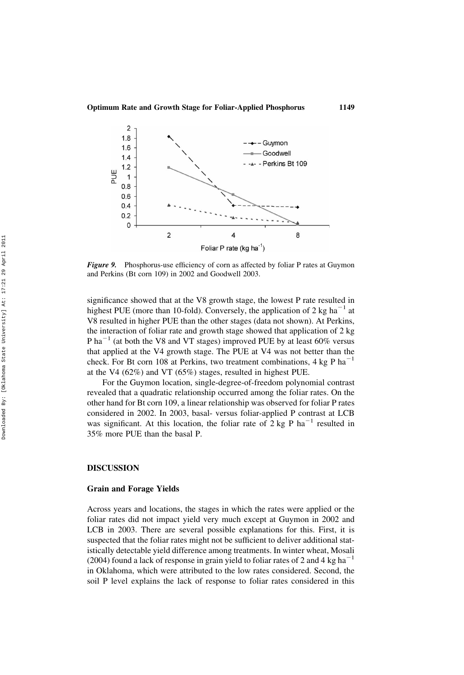

Figure 9. Phosphorus-use efficiency of corn as affected by foliar P rates at Guymon and Perkins (Bt corn 109) in 2002 and Goodwell 2003.

significance showed that at the V8 growth stage, the lowest P rate resulted in highest PUE (more than 10-fold). Conversely, the application of 2 kg ha<sup> $-1$ </sup> at V8 resulted in higher PUE than the other stages (data not shown). At Perkins, the interaction of foliar rate and growth stage showed that application of 2 kg P ha<sup> $-1$ </sup> (at both the V8 and VT stages) improved PUE by at least 60% versus that applied at the V4 growth stage. The PUE at V4 was not better than the check. For Bt corn 108 at Perkins, two treatment combinations,  $4 \text{ kg P ha}^{-1}$ at the V4 (62%) and VT (65%) stages, resulted in highest PUE.

For the Guymon location, single-degree-of-freedom polynomial contrast revealed that a quadratic relationship occurred among the foliar rates. On the other hand for Bt corn 109, a linear relationship was observed for foliar P rates considered in 2002. In 2003, basal- versus foliar-applied P contrast at LCB was significant. At this location, the foliar rate of  $2 \text{ kg P}$  ha<sup>-1</sup> resulted in 35% more PUE than the basal P.

## DISCUSSION

### Grain and Forage Yields

Across years and locations, the stages in which the rates were applied or the foliar rates did not impact yield very much except at Guymon in 2002 and LCB in 2003. There are several possible explanations for this. First, it is suspected that the foliar rates might not be sufficient to deliver additional statistically detectable yield difference among treatments. In winter wheat, Mosali (2004) found a lack of response in grain yield to foliar rates of 2 and 4 kg ha<sup> $-1$ </sup> in Oklahoma, which were attributed to the low rates considered. Second, the soil P level explains the lack of response to foliar rates considered in this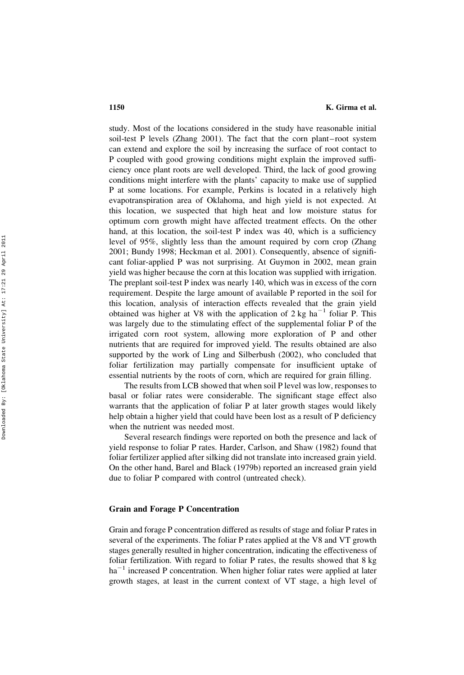study. Most of the locations considered in the study have reasonable initial soil-test P levels (Zhang 2001). The fact that the corn plant – root system can extend and explore the soil by increasing the surface of root contact to P coupled with good growing conditions might explain the improved sufficiency once plant roots are well developed. Third, the lack of good growing conditions might interfere with the plants' capacity to make use of supplied P at some locations. For example, Perkins is located in a relatively high evapotranspiration area of Oklahoma, and high yield is not expected. At this location, we suspected that high heat and low moisture status for optimum corn growth might have affected treatment effects. On the other hand, at this location, the soil-test P index was 40, which is a sufficiency level of 95%, slightly less than the amount required by corn crop (Zhang 2001; Bundy 1998; Heckman et al. 2001). Consequently, absence of significant foliar-applied P was not surprising. At Guymon in 2002, mean grain yield was higher because the corn at this location was supplied with irrigation. The preplant soil-test P index was nearly 140, which was in excess of the corn requirement. Despite the large amount of available P reported in the soil for this location, analysis of interaction effects revealed that the grain yield obtained was higher at V8 with the application of  $2 \text{ kg ha}^{-1}$  foliar P. This was largely due to the stimulating effect of the supplemental foliar P of the irrigated corn root system, allowing more exploration of P and other nutrients that are required for improved yield. The results obtained are also supported by the work of Ling and Silberbush (2002), who concluded that foliar fertilization may partially compensate for insufficient uptake of essential nutrients by the roots of corn, which are required for grain filling.

The results from LCB showed that when soil P level was low, responses to basal or foliar rates were considerable. The significant stage effect also warrants that the application of foliar P at later growth stages would likely help obtain a higher yield that could have been lost as a result of P deficiency when the nutrient was needed most.

Several research findings were reported on both the presence and lack of yield response to foliar P rates. Harder, Carlson, and Shaw (1982) found that foliar fertilizer applied after silking did not translate into increased grain yield. On the other hand, Barel and Black (1979b) reported an increased grain yield due to foliar P compared with control (untreated check).

## Grain and Forage P Concentration

Grain and forage P concentration differed as results of stage and foliar P rates in several of the experiments. The foliar P rates applied at the V8 and VT growth stages generally resulted in higher concentration, indicating the effectiveness of foliar fertilization. With regard to foliar P rates, the results showed that 8 kg ha<sup>-1</sup> increased P concentration. When higher foliar rates were applied at later growth stages, at least in the current context of VT stage, a high level of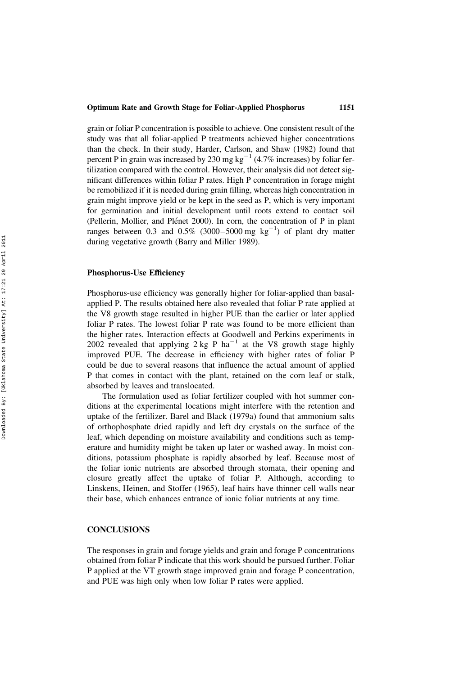grain or foliar P concentration is possible to achieve. One consistent result of the study was that all foliar-applied P treatments achieved higher concentrations than the check. In their study, Harder, Carlson, and Shaw (1982) found that percent P in grain was increased by 230 mg  $kg^{-1}$  (4.7% increases) by foliar fertilization compared with the control. However, their analysis did not detect significant differences within foliar P rates. High P concentration in forage might be remobilized if it is needed during grain filling, whereas high concentration in grain might improve yield or be kept in the seed as P, which is very important for germination and initial development until roots extend to contact soil (Pellerin, Mollier, and Plénet 2000). In corn, the concentration of P in plant ranges between 0.3 and 0.5% (3000–5000 mg  $kg^{-1}$ ) of plant dry matter during vegetative growth (Barry and Miller 1989).

## Phosphorus-Use Efficiency

Phosphorus-use efficiency was generally higher for foliar-applied than basalapplied P. The results obtained here also revealed that foliar P rate applied at the V8 growth stage resulted in higher PUE than the earlier or later applied foliar P rates. The lowest foliar P rate was found to be more efficient than the higher rates. Interaction effects at Goodwell and Perkins experiments in 2002 revealed that applying  $2 \text{ kg }$  P ha<sup> $-1$ </sup> at the V8 growth stage highly improved PUE. The decrease in efficiency with higher rates of foliar P could be due to several reasons that influence the actual amount of applied P that comes in contact with the plant, retained on the corn leaf or stalk, absorbed by leaves and translocated.

The formulation used as foliar fertilizer coupled with hot summer conditions at the experimental locations might interfere with the retention and uptake of the fertilizer. Barel and Black (1979a) found that ammonium salts of orthophosphate dried rapidly and left dry crystals on the surface of the leaf, which depending on moisture availability and conditions such as temperature and humidity might be taken up later or washed away. In moist conditions, potassium phosphate is rapidly absorbed by leaf. Because most of the foliar ionic nutrients are absorbed through stomata, their opening and closure greatly affect the uptake of foliar P. Although, according to Linskens, Heinen, and Stoffer (1965), leaf hairs have thinner cell walls near their base, which enhances entrance of ionic foliar nutrients at any time.

## **CONCLUSIONS**

The responses in grain and forage yields and grain and forage P concentrations obtained from foliar P indicate that this work should be pursued further. Foliar P applied at the VT growth stage improved grain and forage P concentration, and PUE was high only when low foliar P rates were applied.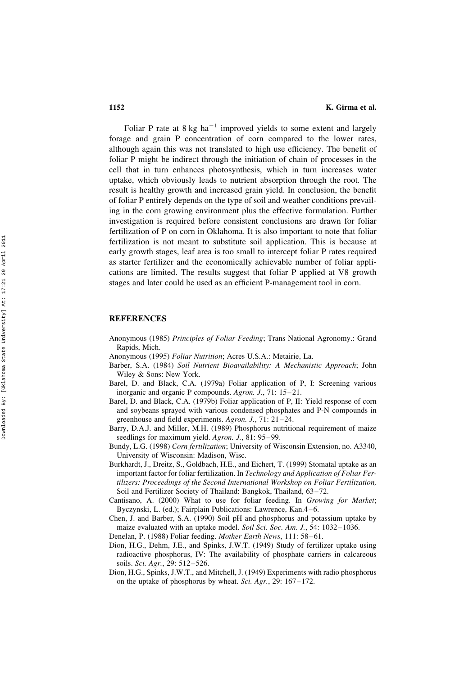Foliar P rate at  $8 \text{ kg}$  ha<sup>-1</sup> improved yields to some extent and largely forage and grain P concentration of corn compared to the lower rates, although again this was not translated to high use efficiency. The benefit of foliar P might be indirect through the initiation of chain of processes in the cell that in turn enhances photosynthesis, which in turn increases water uptake, which obviously leads to nutrient absorption through the root. The result is healthy growth and increased grain yield. In conclusion, the benefit of foliar P entirely depends on the type of soil and weather conditions prevailing in the corn growing environment plus the effective formulation. Further investigation is required before consistent conclusions are drawn for foliar fertilization of P on corn in Oklahoma. It is also important to note that foliar fertilization is not meant to substitute soil application. This is because at early growth stages, leaf area is too small to intercept foliar P rates required as starter fertilizer and the economically achievable number of foliar applications are limited. The results suggest that foliar P applied at V8 growth stages and later could be used as an efficient P-management tool in corn.

#### REFERENCES

- Anonymous (1985) Principles of Foliar Feeding; Trans National Agronomy.: Grand Rapids, Mich.
- Anonymous (1995) Foliar Nutrition; Acres U.S.A.: Metairie, La.
- Barber, S.A. (1984) Soil Nutrient Bioavailability: A Mechanistic Approach; John Wiley & Sons: New York.
- Barel, D. and Black, C.A. (1979a) Foliar application of P, I: Screening various inorganic and organic P compounds. Agron. J., 71: 15–21.
- Barel, D. and Black, C.A. (1979b) Foliar application of P, II: Yield response of corn and soybeans sprayed with various condensed phosphates and P-N compounds in greenhouse and field experiments. Agron. J., 71: 21 – 24.
- Barry, D.A.J. and Miller, M.H. (1989) Phosphorus nutritional requirement of maize seedlings for maximum yield. Agron. J., 81: 95–99.
- Bundy, L.G. (1998) Corn fertilization; University of Wisconsin Extension, no. A3340, University of Wisconsin: Madison, Wisc.
- Burkhardt, J., Dreitz, S., Goldbach, H.E., and Eichert, T. (1999) Stomatal uptake as an important factor for foliar fertilization. In Technology and Application of Foliar Fertilizers: Proceedings of the Second International Workshop on Foliar Fertilization, Soil and Fertilizer Society of Thailand: Bangkok, Thailand, 63 –72.
- Cantisano, A. (2000) What to use for foliar feeding. In Growing for Market; Byczynski, L. (ed.); Fairplain Publications: Lawrence, Kan.4 – 6.
- Chen, J. and Barber, S.A. (1990) Soil pH and phosphorus and potassium uptake by maize evaluated with an uptake model. Soil Sci. Soc. Am. J., 54: 1032–1036.
- Denelan, P. (1988) Foliar feeding. Mother Earth News, 111: 58 –61.
- Dion, H.G., Dehm, J.E., and Spinks, J.W.T. (1949) Study of fertilizer uptake using radioactive phosphorus, IV: The availability of phosphate carriers in calcareous soils. Sci. Agr., 29: 512–526.
- Dion, H.G., Spinks, J.W.T., and Mitchell, J. (1949) Experiments with radio phosphorus on the uptake of phosphorus by wheat. Sci. Agr., 29: 167-172.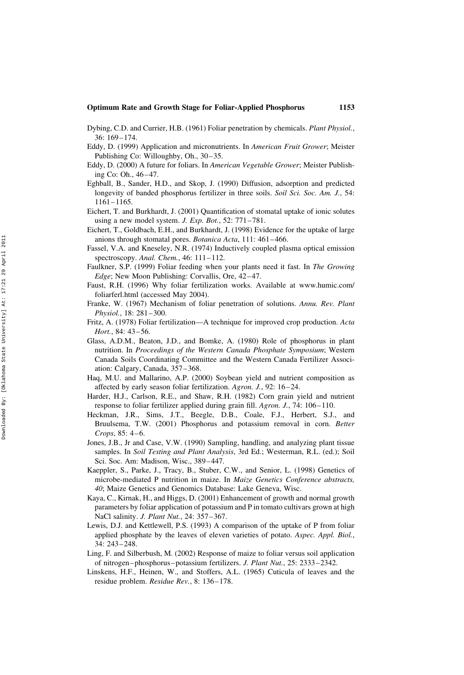- Dybing, C.D. and Currier, H.B. (1961) Foliar penetration by chemicals. Plant Physiol., 36: 169– 174.
- Eddy, D. (1999) Application and micronutrients. In American Fruit Grower; Meister Publishing Co: Willoughby, Oh., 30–35.
- Eddy, D. (2000) A future for foliars. In American Vegetable Grower; Meister Publishing Co: Oh., 46 – 47.
- Eghball, B., Sander, H.D., and Skop, J. (1990) Diffusion, adsorption and predicted longevity of banded phosphorus fertilizer in three soils. Soil Sci. Soc. Am. J., 54: 1161– 1165.
- Eichert, T. and Burkhardt, J. (2001) Quantification of stomatal uptake of ionic solutes using a new model system. J. Exp. Bot., 52: 771-781.
- Eichert, T., Goldbach, E.H., and Burkhardt, J. (1998) Evidence for the uptake of large anions through stomatal pores. Botanica Acta, 111: 461-466.
- Fassel, V.A. and Kneseley, N.R. (1974) Inductively coupled plasma optical emission spectroscopy. Anal. Chem., 46: 111–112.
- Faulkner, S.P. (1999) Foliar feeding when your plants need it fast. In The Growing Edge; New Moon Publishing: Corvallis, Ore, 42-47.
- Faust, R.H. (1996) Why foliar fertilization works. Available at www.humic.com/ foliarferl.html (accessed May 2004).
- Franke, W. (1967) Mechanism of foliar penetration of solutions. Annu. Rev. Plant Physiol., 18: 281-300.
- Fritz, A. (1978) Foliar fertilization—A technique for improved crop production. Acta Hort., 84: 43-56.
- Glass, A.D.M., Beaton, J.D., and Bomke, A. (1980) Role of phosphorus in plant nutrition. In Proceedings of the Western Canada Phosphate Symposium; Western Canada Soils Coordinating Committee and the Western Canada Fertilizer Association: Calgary, Canada, 357– 368.
- Haq, M.U. and Mallarino, A.P. (2000) Soybean yield and nutrient composition as affected by early season foliar fertilization. Agron. J., 92: 16 – 24.
- Harder, H.J., Carlson, R.E., and Shaw, R.H. (1982) Corn grain yield and nutrient response to foliar fertilizer applied during grain fill. Agron. J., 74: 106-110.
- Heckman, J.R., Sims, J.T., Beegle, D.B., Coale, F.J., Herbert, S.J., and Bruulsema, T.W. (2001) Phosphorus and potassium removal in corn. Better Crops,  $85: 4-6$ .
- Jones, J.B., Jr and Case, V.W. (1990) Sampling, handling, and analyzing plant tissue samples. In Soil Testing and Plant Analysis, 3rd Ed.; Westerman, R.L. (ed.); Soil Sci. Soc. Am: Madison, Wisc., 389–447.
- Kaeppler, S., Parke, J., Tracy, B., Stuber, C.W., and Senior, L. (1998) Genetics of microbe-mediated P nutrition in maize. In Maize Genetics Conference abstracts, 40; Maize Genetics and Genomics Database: Lake Geneva, Wisc.
- Kaya, C., Kirnak, H., and Higgs, D. (2001) Enhancement of growth and normal growth parameters by foliar application of potassium and P in tomato cultivars grown at high NaCl salinity. *J. Plant Nut.*, 24: 357-367.
- Lewis, D.J. and Kettlewell, P.S. (1993) A comparison of the uptake of P from foliar applied phosphate by the leaves of eleven varieties of potato. Aspec. Appl. Biol., 34: 243– 248.
- Ling, F. and Silberbush, M. (2002) Response of maize to foliar versus soil application of nitrogen– phosphorus – potassium fertilizers. J. Plant Nut., 25: 2333– 2342.
- Linskens, H.F., Heinen, W., and Stoffers, A.L. (1965) Cuticula of leaves and the residue problem. Residue Rev., 8: 136– 178.